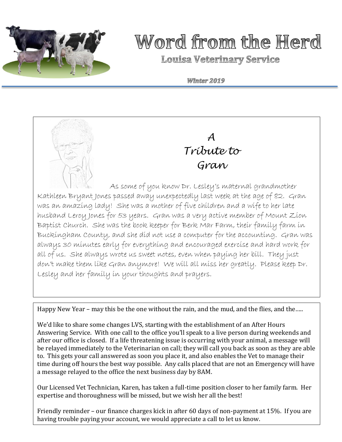

# Word from the Herd

**Louisa Veterinary Service** 

Winter 2019



*A Tribute to Gran*

 As some of you know Dr. Lesley's maternal grandmother Kathleen Bryant Jones passed away unexpectedly last week at the age of 82. Gran was an amazing lady! She was a mother of five children and a wife to her late husband Leroy Jones for 53 years. Gran was a very active member of Mount Zion Baptist Church. She was the book keeper for Berk Mar Farm, their family farm in Buckingham County, and she did not use a computer for the accounting. Gran was always 30 minutes early for everything and encouraged exercise and hard work for all of us. She always wrote us sweet notes, even when paying her bill. They just don't make them like Gran anymore! We will all miss her greatly. Please keep Dr. Lesley and her family in your thoughts and prayers.

Happy New Year – may this be the one without the rain, and the mud, and the flies, and the.....

We'd like to share some changes LVS, starting with the establishment of an After Hours Answering Service. With one call to the office you'll speak to a live person during weekends and after our office is closed. If a life threatening issue is occurring with your animal, a message will be relayed immediately to the Veterinarian on call; they will call you back as soon as they are able to. This gets your call answered as soon you place it, and also enables the Vet to manage their time during off hours the best way possible. Any calls placed that are not an Emergency will have a message relayed to the office the next business day by 8AM.

Our Licensed Vet Technician, Karen, has taken a full-time position closer to her family farm. Her expertise and thoroughness will be missed, but we wish her all the best!

Friendly reminder – our finance charges kick in after 60 days of non-payment at 15%. If you are having trouble paying your account, we would appreciate a call to let us know.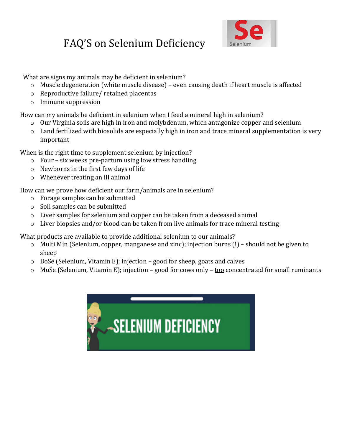### FAQ'S on Selenium Deficiency



What are signs my animals may be deficient in selenium?

- o Muscle degeneration (white muscle disease) even causing death if heart muscle is affected
- o Reproductive failure/ retained placentas
- o Immune suppression

How can my animals be deficient in selenium when I feed a mineral high in selenium?

- o Our Virginia soils are high in iron and molybdenum, which antagonize copper and selenium
- $\circ$  Land fertilized with biosolids are especially high in iron and trace mineral supplementation is very important

When is the right time to supplement selenium by injection?

- o Four six weeks pre-partum using low stress handling
- o Newborns in the first few days of life
- o Whenever treating an ill animal

How can we prove how deficient our farm/animals are in selenium?

- o Forage samples can be submitted
- o Soil samples can be submitted
- o Liver samples for selenium and copper can be taken from a deceased animal
- o Liver biopsies and/or blood can be taken from live animals for trace mineral testing

What products are available to provide additional selenium to our animals?

- $\circ$  Multi Min (Selenium, copper, manganese and zinc); injection burns (!) should not be given to sheep
- o BoSe (Selenium, Vitamin E); injection good for sheep, goats and calves
- $\circ$  MuSe (Selenium, Vitamin E); injection good for cows only <u>too</u> concentrated for small ruminants

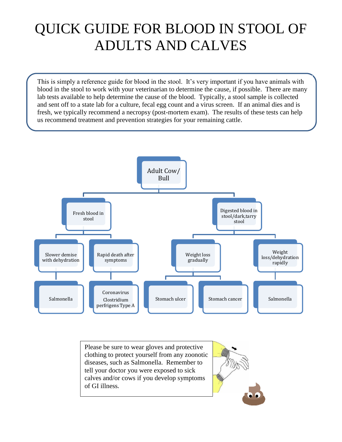## QUICK GUIDE FOR BLOOD IN STOOL OF ADULTS AND CALVES

This is simply a reference guide for blood in the stool. It's very important if you have animals with blood in the stool to work with your veterinarian to determine the cause, if possible. There are many lab tests available to help determine the cause of the blood. Typically, a stool sample is collected and sent off to a state lab for a culture, fecal egg count and a virus screen. If an animal dies and is fresh, we typically recommend a necropsy (post-mortem exam). The results of these tests can help us recommend treatment and prevention strategies for your remaining cattle.



Please be sure to wear gloves and protective clothing to protect yourself from any zoonotic diseases, such as Salmonella. Remember to tell your doctor you were exposed to sick calves and/or cows if you develop symptoms of GI illness.

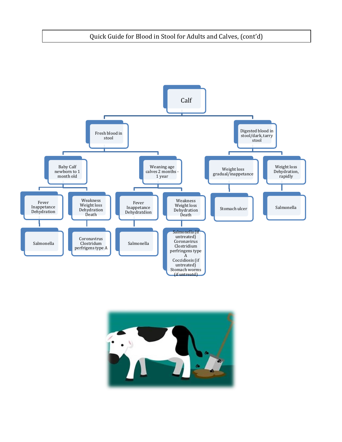#### Quick Guide for Blood in Stool for Adults and Calves, (cont'd)